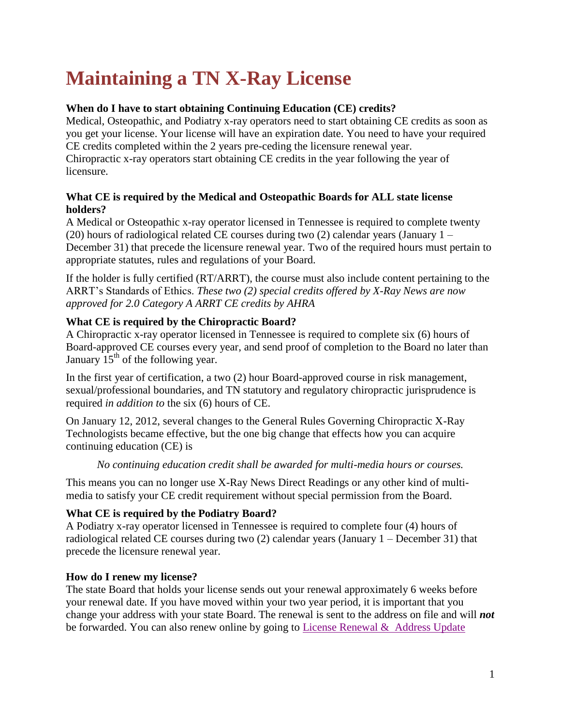# **Maintaining a TN X-Ray License**

## **When do I have to start obtaining Continuing Education (CE) credits?**

Medical, Osteopathic, and Podiatry x-ray operators need to start obtaining CE credits as soon as you get your license. Your license will have an expiration date. You need to have your required CE credits completed within the 2 years pre-ceding the licensure renewal year. Chiropractic x-ray operators start obtaining CE credits in the year following the year of licensure.

### **What CE is required by the Medical and Osteopathic Boards for ALL state license holders?**

A Medical or Osteopathic x-ray operator licensed in Tennessee is required to complete twenty (20) hours of radiological related CE courses during two (2) calendar years (January  $1 -$ December 31) that precede the licensure renewal year. Two of the required hours must pertain to appropriate statutes, rules and regulations of your Board.

If the holder is fully certified (RT/ARRT), the course must also include content pertaining to the ARRT's Standards of Ethics. *These two (2) special credits offered by X-Ray News are now approved for 2.0 Category A ARRT CE credits by AHRA*

## **What CE is required by the Chiropractic Board?**

A Chiropractic x-ray operator licensed in Tennessee is required to complete six (6) hours of Board-approved CE courses every year, and send proof of completion to the Board no later than January  $15<sup>th</sup>$  of the following year.

In the first year of certification, a two (2) hour Board-approved course in risk management, sexual/professional boundaries, and TN statutory and regulatory chiropractic jurisprudence is required *in addition to* the six (6) hours of CE.

On January 12, 2012, several changes to the General Rules Governing Chiropractic X-Ray Technologists became effective, but the one big change that effects how you can acquire continuing education (CE) is

*No continuing education credit shall be awarded for multi-media hours or courses.*

This means you can no longer use X-Ray News Direct Readings or any other kind of multimedia to satisfy your CE credit requirement without special permission from the Board.

## **What CE is required by the Podiatry Board?**

A Podiatry x-ray operator licensed in Tennessee is required to complete four (4) hours of radiological related CE courses during two (2) calendar years (January 1 – December 31) that precede the licensure renewal year.

## **How do I renew my license?**

The state Board that holds your license sends out your renewal approximately 6 weeks before your renewal date. If you have moved within your two year period, it is important that you change your address with your state Board. The renewal is sent to the address on file and will *not* be forwarded. You can also renew online by going to [License Renewal &](https://apps.tn.gov/hlrs/) Address Update